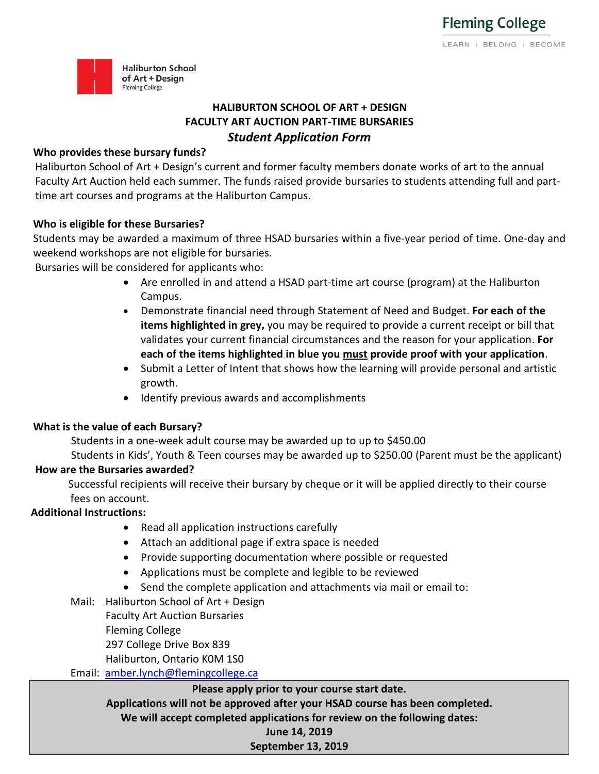

# **HALIBURTON SCHOOL OF ART + DESIGN FACULTY ART AUCTION PART-TIME BURSARIES** *Student Application Form*

#### **Who provides these bursary funds?**

Haliburton School of Art + Design's current and former faculty members donate works of art to the annual Faculty Art Auction held each summer. The funds raised provide bursaries to students attending full and parttime art courses and programs at the Haliburton Campus.

### **Who is eligible for these Bursaries?**

Students may be awarded a maximum of three HSAD bursaries within a five-year period of time. One-day and weekend workshops are not eligible for bursaries.

Bursaries will be considered for applicants who:

- Are enrolled in and attend a HSAD part-time art course (program) at the Haliburton Campus.
- Demonstrate financial need through Statement of Need and Budget. **For each of the items highlighted in grey,** you may be required to provide a current receipt or bill that validates your current financial circumstances and the reason for your application. **For each of the items highlighted in blue you must provide proof with your application**.
- Submit a Letter of Intent that shows how the learning will provide personal and artistic growth.
- Identify previous awards and accomplishments

### **What is the value of each Bursary?**

Students in a one-week adult course may be awarded up to up to \$450.00

Students in Kids', Youth & Teen courses may be awarded up to \$250.00 (Parent must be the applicant) **How are the Bursaries awarded?**

Successful recipients will receive their bursary by cheque or it will be applied directly to their course fees on account.

### **Additional Instructions:**

- Read all application instructions carefully
- Attach an additional page if extra space is needed
- Provide supporting documentation where possible or requested
- Applications must be complete and legible to be reviewed
- Send the complete application and attachments via mail or email to:
- Mail: Haliburton School of Art + Design

Faculty Art Auction Bursaries

Fleming College

297 College Drive Box 839

Haliburton, Ontario K0M 1S0

Email: [amber.lynch@flemingcollege.ca](mailto:amber.lynch@flemingcollege.ca)

### **Please apply prior to your course start date.**

**Applications will not be approved after your HSAD course has been completed.** 

**We will accept completed applications for review on the following dates:**

#### **June 14, 2019 September 13, 2019**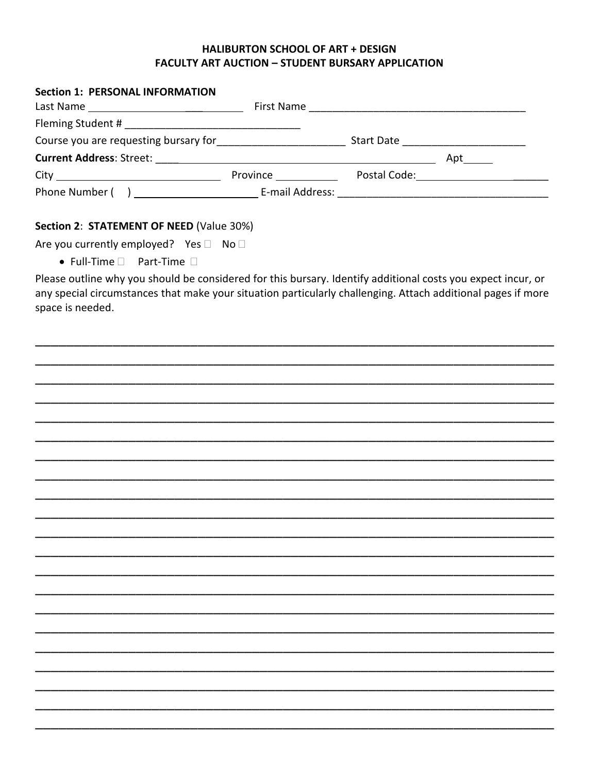#### **HALIBURTON SCHOOL OF ART + DESIGN FACULTY ART AUCTION - STUDENT BURSARY APPLICATION**

| <b>Section 1: PERSONAL INFORMATION</b>                                                |                 |                                         |
|---------------------------------------------------------------------------------------|-----------------|-----------------------------------------|
|                                                                                       |                 |                                         |
|                                                                                       |                 |                                         |
| Course you are requesting bursary for<br><u>Course you are requesting</u> bursary for |                 | Start Date <u>_____________________</u> |
|                                                                                       |                 | Apt                                     |
|                                                                                       | <b>Province</b> | Postal Code: <u>__________________</u>  |
|                                                                                       |                 |                                         |

## Section 2: STATEMENT OF NEED (Value 30%)

Are you currently employed? Yes □ No □

 $\bullet$  Full-Time  $\Box$  Part-Time  $\Box$ 

Please outline why you should be considered for this bursary. Identify additional costs you expect incur, or any special circumstances that make your situation particularly challenging. Attach additional pages if more space is needed.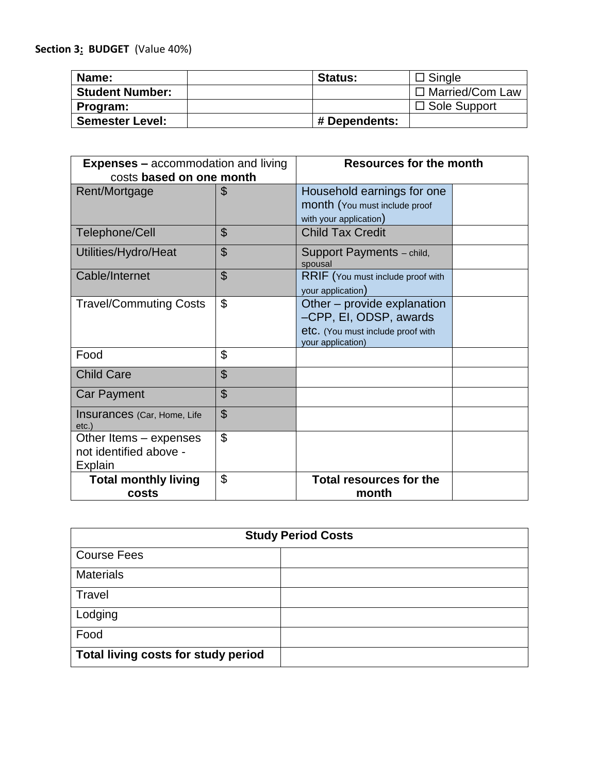# **Section 3: BUDGET** (Value 40%)

| Name:                  | <b>Status:</b> | $\Box$ Single       |
|------------------------|----------------|---------------------|
| <b>Student Number:</b> |                | □ Married/Com Law   |
| Program:               |                | $\Box$ Sole Support |
| <b>Semester Level:</b> | # Dependents:  |                     |

| <b>Expenses - accommodation and living</b> |                           | <b>Resources for the month</b>                         |  |
|--------------------------------------------|---------------------------|--------------------------------------------------------|--|
| costs based on one month                   |                           |                                                        |  |
| Rent/Mortgage                              | \$                        | Household earnings for one                             |  |
|                                            |                           | month (You must include proof                          |  |
|                                            |                           | with your application)                                 |  |
| Telephone/Cell                             | $\mathfrak{S}$            | <b>Child Tax Credit</b>                                |  |
| Utilities/Hydro/Heat                       | $\boldsymbol{\mathsf{S}}$ | Support Payments - child,<br>spousal                   |  |
| Cable/Internet                             | $\mathfrak{S}$            | RRIF (You must include proof with<br>your application) |  |
| <b>Travel/Commuting Costs</b>              | \$                        | Other – provide explanation                            |  |
|                                            |                           | -CPP, EI, ODSP, awards                                 |  |
|                                            |                           | etc. (You must include proof with                      |  |
|                                            |                           | your application)                                      |  |
| Food                                       | \$                        |                                                        |  |
| <b>Child Care</b>                          | \$                        |                                                        |  |
| <b>Car Payment</b>                         | $\boldsymbol{\theta}$     |                                                        |  |
| Insurances (Car, Home, Life<br>etc.        | $\mathfrak{S}$            |                                                        |  |
| Other Items – expenses                     | \$                        |                                                        |  |
| not identified above -                     |                           |                                                        |  |
| <b>Explain</b>                             |                           |                                                        |  |
| <b>Total monthly living</b>                | \$                        | <b>Total resources for the</b>                         |  |
| costs                                      |                           | month                                                  |  |

| <b>Study Period Costs</b>           |  |  |
|-------------------------------------|--|--|
| <b>Course Fees</b>                  |  |  |
| <b>Materials</b>                    |  |  |
| Travel                              |  |  |
| Lodging                             |  |  |
| Food                                |  |  |
| Total living costs for study period |  |  |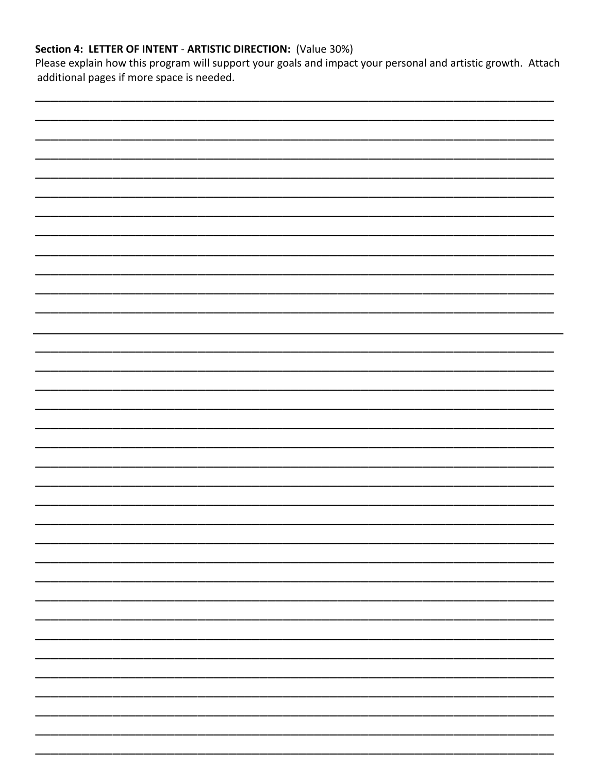# Section 4: LETTER OF INTENT - ARTISTIC DIRECTION: (Value 30%)

Please explain how this program will support your goals and impact your personal and artistic growth. Attach additional pages if more space is needed.